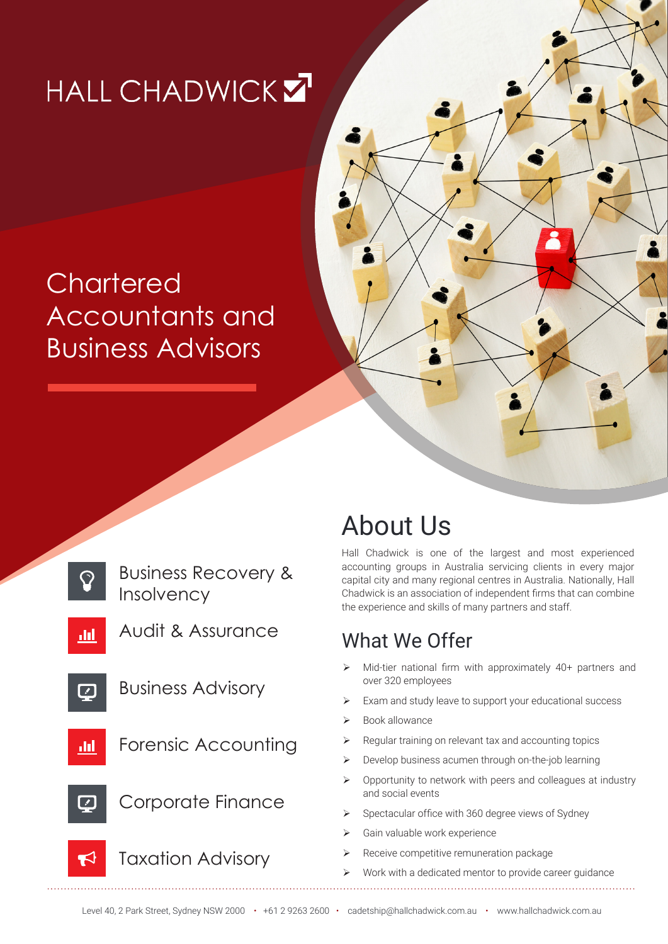# HALL CHADWICK Z

# **Chartered** Accountants and Business Advisors



## About Us

Hall Chadwick is one of the largest and most experienced accounting groups in Australia servicing clients in every major capital city and many regional centres in Australia. Nationally, Hall Chadwick is an association of independent firms that can combine the experience and skills of many partners and staff.

### What We Offer

- Mid-tier national firm with approximately 40+ partners and over 320 employees
- Exam and study leave to support your educational success
- Book allowance
- Regular training on relevant tax and accounting topics
- ¾ Develop business acumen through on-the-job learning
- $\triangleright$  Opportunity to network with peers and colleagues at industry and social events
- Spectacular office with 360 degree views of Sydney
- Gain valuable work experience
- Receive competitive remuneration package
- Work with a dedicated mentor to provide career guidance